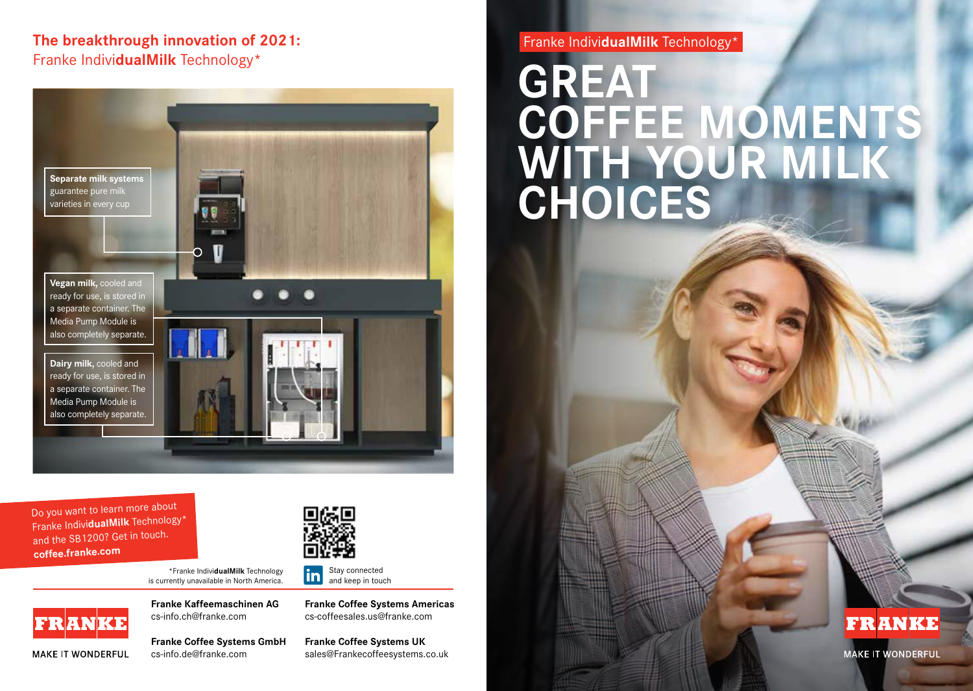**The breakthrough innovation of 2021:** Franke Indivi**dualMilk** Technology\*



Do you want to learn more about Franke Indivi**dualMilk** Technology\* and the SB1200? Get in touch. **coffee.franke.com**

MAKE IT WONDERFUL



\*Franke Indivi**dualMilk** Technology is currently unavailable in North America.

**Franke Kaffeemaschinen AG** cs-info.ch@franke.com **FRANKE** 

> **Franke Coffee Systems GmbH** cs-info.de@franke.com

Stay connected lin and keep in touch

**Franke Coffee Systems Americas** cs-coffeesales.us@franke.com

**Franke Coffee Systems UK** sales@Frankecoffeesystems.co.uk Franke Indivi**dualMilk** Technology\*

## **GREAT COFFEE MOMENTS WITH YOUR MILK CHOICES**